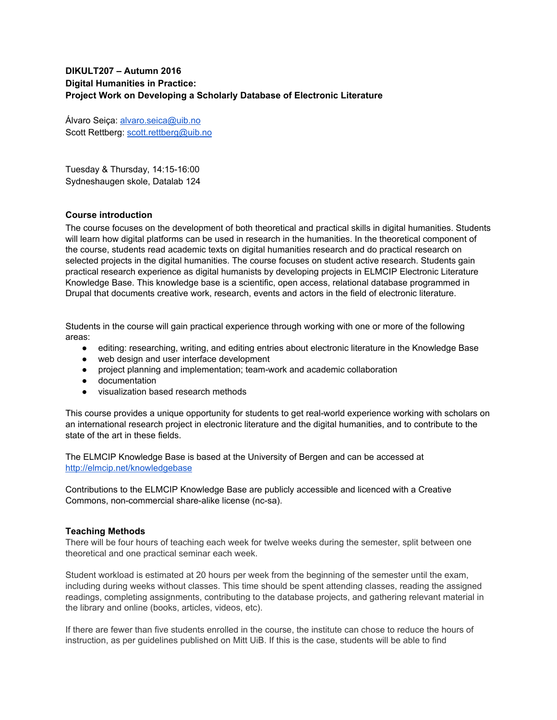# **DIKULT207 – Autumn 2016 Digital Humanities in Practice: Project Work on Developing a Scholarly Database of Electronic Literature**

Álvaro Seiça: [alvaro.seica@uib.no](mailto:alvaro.seica@uib.no) Scott Rettberg: [scott.rettberg@uib.no](mailto:scott.rettberg@uib.no)

Tuesday & Thursday, 14:15-16:00 Sydneshaugen skole, Datalab 124

# **Course introduction**

The course focuses on the development of both theoretical and practical skills in digital humanities. Students will learn how digital platforms can be used in research in the humanities. In the theoretical component of the course, students read academic texts on digital humanities research and do practical research on selected projects in the digital humanities. The course focuses on student active research. Students gain practical research experience as digital humanists by developing projects in ELMCIP Electronic Literature Knowledge Base. This knowledge base is a scientific, open access, relational database programmed in Drupal that documents creative work, research, events and actors in the field of electronic literature.

Students in the course will gain practical experience through working with one or more of the following areas:

- editing: researching, writing, and editing entries about electronic literature in the Knowledge Base
- web design and user interface development
- project planning and implementation; team-work and academic collaboration
- documentation
- visualization based research methods

This course provides a unique opportunity for students to get real-world experience working with scholars on an international research project in electronic literature and the digital humanities, and to contribute to the state of the art in these fields.

The ELMCIP Knowledge Base is based at the University of Bergen and can be accessed at <http://elmcip.net/knowledgebase>

Contributions to the ELMCIP Knowledge Base are publicly accessible and licenced with a Creative Commons, non-commercial share-alike license (nc-sa).

### **Teaching Methods**

There will be four hours of teaching each week for twelve weeks during the semester, split between one theoretical and one practical seminar each week.

Student workload is estimated at 20 hours per week from the beginning of the semester until the exam, including during weeks without classes. This time should be spent attending classes, reading the assigned readings, completing assignments, contributing to the database projects, and gathering relevant material in the library and online (books, articles, videos, etc).

If there are fewer than five students enrolled in the course, the institute can chose to reduce the hours of instruction, as per guidelines published on Mitt UiB. If this is the case, students will be able to find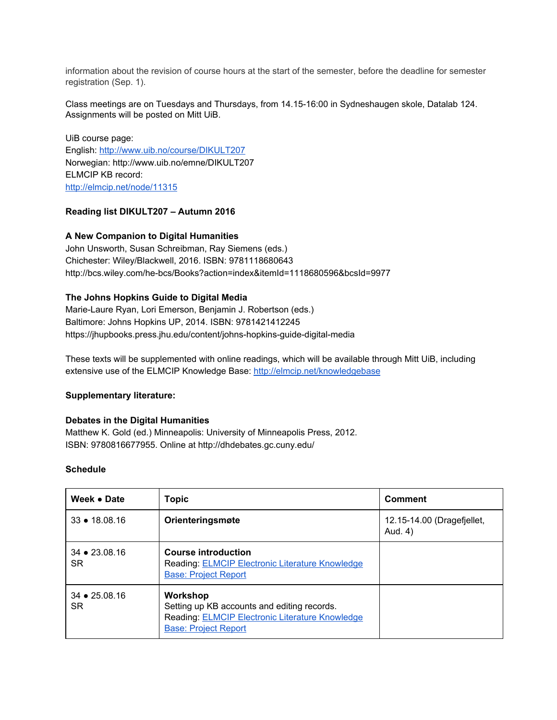information about the revision of course hours at the start of the semester, before the deadline for semester registration (Sep. 1).

Class meetings are on Tuesdays and Thursdays, from 14.1516:00 in Sydneshaugen skole, Datalab 124. Assignments will be posted on Mitt UiB.

UiB course page: English:<http://www.uib.no/course/DIKULT207> Norwegian: http://www.uib.no/emne/DIKULT207 ELMCIP KB record: <http://elmcip.net/node/11315>

# **Reading list DIKULT207 – Autumn 2016**

# **A New Companion to Digital Humanities**

John Unsworth, Susan Schreibman, Ray Siemens (eds.) Chichester: Wiley/Blackwell, 2016. ISBN: 9781118680643 http://bcs.wiley.com/he-bcs/Books?action=index&itemId=1118680596&bcsId=9977

# **The Johns Hopkins Guide to Digital Media**

Marie-Laure Ryan, Lori Emerson, Benjamin J. Robertson (eds.) Baltimore: Johns Hopkins UP, 2014. ISBN: 9781421412245 https://jhupbooks.press.jhu.edu/content/johns-hopkins-guide-digital-media

These texts will be supplemented with online readings, which will be available through Mitt UiB, including extensive use of the ELMCIP Knowledge Base: <http://elmcip.net/knowledgebase>

### **Supplementary literature:**

### **Debates in the Digital Humanities**

Matthew K. Gold (ed.) Minneapolis: University of Minneapolis Press, 2012. ISBN: 9780816677955. Online at http://dhdebates.gc.cuny.edu/

### **Schedule**

| Week • Date                     | <b>Topic</b>                                                                                                                              | <b>Comment</b>                        |
|---------------------------------|-------------------------------------------------------------------------------------------------------------------------------------------|---------------------------------------|
| $33 \div 18.08.16$              | Orienteringsmøte                                                                                                                          | 12.15-14.00 (Dragefiellet,<br>Aud. 4) |
| $34 \div 23.08.16$<br><b>SR</b> | <b>Course introduction</b><br>Reading: ELMCIP Electronic Literature Knowledge<br><b>Base: Project Report</b>                              |                                       |
| $34 \div 25.08.16$<br>SR.       | Workshop<br>Setting up KB accounts and editing records.<br>Reading: ELMCIP Electronic Literature Knowledge<br><b>Base: Project Report</b> |                                       |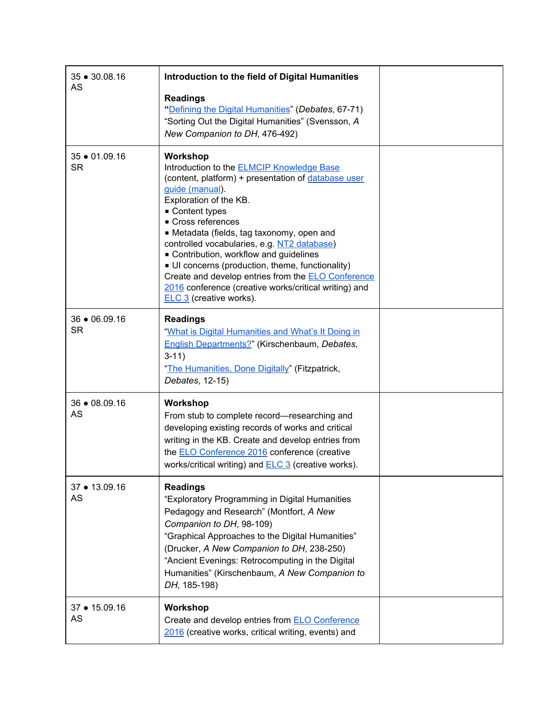| 35 • 30.08.16              | Introduction to the field of Digital Humanities                                                                                                                                                                                                                                                                                                                                                                                                                                                                                                         |  |
|----------------------------|---------------------------------------------------------------------------------------------------------------------------------------------------------------------------------------------------------------------------------------------------------------------------------------------------------------------------------------------------------------------------------------------------------------------------------------------------------------------------------------------------------------------------------------------------------|--|
| AS                         | <b>Readings</b><br>"Defining the Digital Humanities" (Debates, 67-71)<br>"Sorting Out the Digital Humanities" (Svensson, A<br>New Companion to DH, 476-492)                                                                                                                                                                                                                                                                                                                                                                                             |  |
| 35 • 01.09.16<br><b>SR</b> | Workshop<br>Introduction to the <b>ELMCIP Knowledge Base</b><br>(content, platform) + presentation of database user<br>guide (manual).<br>Exploration of the KB.<br>Content types<br>Cross references<br>• Metadata (fields, tag taxonomy, open and<br>controlled vocabularies, e.g. NT2 database)<br>• Contribution, workflow and guidelines<br>UI concerns (production, theme, functionality)<br>Create and develop entries from the <b>ELO Conference</b><br>2016 conference (creative works/critical writing) and<br><b>ELC 3</b> (creative works). |  |
| 36 • 06.09.16<br><b>SR</b> | <b>Readings</b><br>"What is Digital Humanities and What's It Doing in<br>English Departments?" (Kirschenbaum, Debates,<br>$3-11)$<br>"The Humanities, Done Digitally" (Fitzpatrick,<br>Debates, 12-15)                                                                                                                                                                                                                                                                                                                                                  |  |
| 36 • 08.09.16<br>AS        | Workshop<br>From stub to complete record-researching and<br>developing existing records of works and critical<br>writing in the KB. Create and develop entries from<br>the <b>ELO Conference 2016</b> conference (creative<br>works/critical writing) and <b>ELC 3</b> (creative works).                                                                                                                                                                                                                                                                |  |
| 37 • 13.09.16<br>AS        | <b>Readings</b><br>"Exploratory Programming in Digital Humanities<br>Pedagogy and Research" (Montfort, A New<br>Companion to DH, 98-109)<br>"Graphical Approaches to the Digital Humanities"<br>(Drucker, A New Companion to DH, 238-250)<br>"Ancient Evenings: Retrocomputing in the Digital<br>Humanities" (Kirschenbaum, A New Companion to<br>DH, 185-198)                                                                                                                                                                                          |  |
| 37 • 15.09.16<br>AS        | Workshop<br>Create and develop entries from <b>ELO Conference</b><br>2016 (creative works, critical writing, events) and                                                                                                                                                                                                                                                                                                                                                                                                                                |  |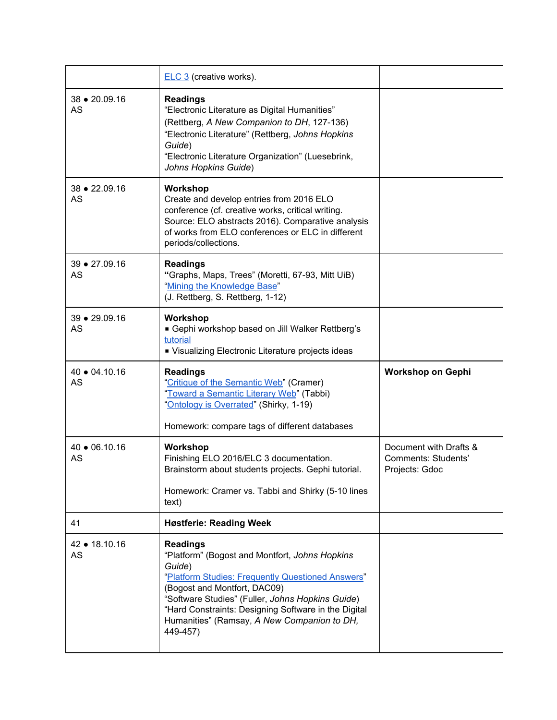|                            | <b>ELC 3</b> (creative works).                                                                                                                                                                                                                            |                                                                 |
|----------------------------|-----------------------------------------------------------------------------------------------------------------------------------------------------------------------------------------------------------------------------------------------------------|-----------------------------------------------------------------|
| 38 • 20.09.16<br>AS        | <b>Readings</b><br>"Electronic Literature as Digital Humanities"<br>(Rettberg, A New Companion to DH, 127-136)<br>"Electronic Literature" (Rettberg, Johns Hopkins<br>Guide)<br>"Electronic Literature Organization" (Luesebrink,<br>Johns Hopkins Guide) |                                                                 |
| 38 • 22.09.16<br>AS        | Workshop<br>Create and develop entries from 2016 ELO<br>conference (cf. creative works, critical writing.<br>Source: ELO abstracts 2016). Comparative analysis<br>of works from ELO conferences or ELC in different<br>periods/collections.               |                                                                 |
| 39 • 27.09.16<br><b>AS</b> | <b>Readings</b><br>"Graphs, Maps, Trees" (Moretti, 67-93, Mitt UiB)<br>"Mining the Knowledge Base"<br>(J. Rettberg, S. Rettberg, 1-12)                                                                                                                    |                                                                 |
| 39 • 29.09.16<br>AS        | Workshop<br>Gephi workshop based on Jill Walker Rettberg's<br>tutorial<br>• Visualizing Electronic Literature projects ideas                                                                                                                              |                                                                 |
|                            |                                                                                                                                                                                                                                                           |                                                                 |
| 40 ● 04.10.16<br>AS        | <b>Readings</b><br>"Critique of the Semantic Web" (Cramer)<br>"Toward a Semantic Literary Web" (Tabbi)<br>"Ontology is Overrated" (Shirky, 1-19)<br>Homework: compare tags of different databases                                                         | <b>Workshop on Gephi</b>                                        |
| 40 • 06.10.16<br><b>AS</b> | Workshop<br>Finishing ELO 2016/ELC 3 documentation.<br>Brainstorm about students projects. Gephi tutorial.<br>Homework: Cramer vs. Tabbi and Shirky (5-10 lines<br>text)                                                                                  | Document with Drafts &<br>Comments: Students'<br>Projects: Gdoc |
| 41                         | <b>Høstferie: Reading Week</b>                                                                                                                                                                                                                            |                                                                 |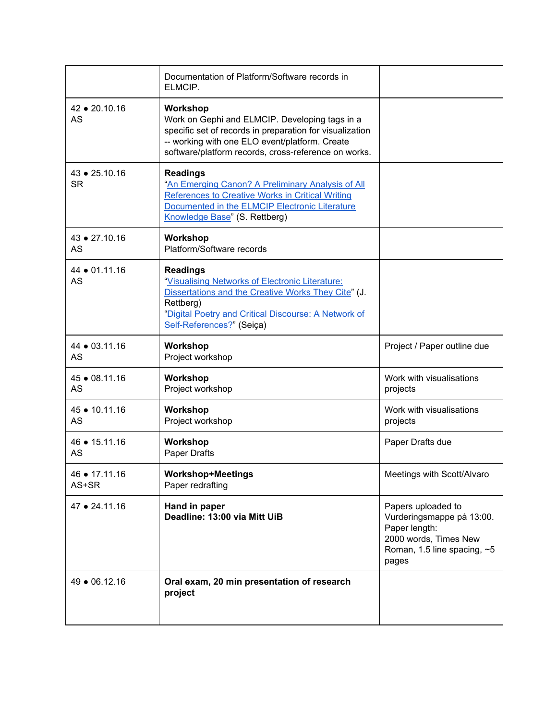|                            | Documentation of Platform/Software records in<br>ELMCIP.                                                                                                                                                                         |                                                                                                                                     |
|----------------------------|----------------------------------------------------------------------------------------------------------------------------------------------------------------------------------------------------------------------------------|-------------------------------------------------------------------------------------------------------------------------------------|
| 42 ● 20.10.16<br>AS        | Workshop<br>Work on Gephi and ELMCIP. Developing tags in a<br>specific set of records in preparation for visualization<br>-- working with one ELO event/platform. Create<br>software/platform records, cross-reference on works. |                                                                                                                                     |
| 43 • 25.10.16<br><b>SR</b> | <b>Readings</b><br>"An Emerging Canon? A Preliminary Analysis of All<br>References to Creative Works in Critical Writing<br>Documented in the ELMCIP Electronic Literature<br>Knowledge Base" (S. Rettberg)                      |                                                                                                                                     |
| 43 • 27.10.16<br>AS        | Workshop<br>Platform/Software records                                                                                                                                                                                            |                                                                                                                                     |
| 44 • 01.11.16<br><b>AS</b> | <b>Readings</b><br>"Visualising Networks of Electronic Literature:<br>Dissertations and the Creative Works They Cite" (J.<br>Rettberg)<br>"Digital Poetry and Critical Discourse: A Network of<br>Self-References?" (Seiça)      |                                                                                                                                     |
| 44 • 03.11.16<br><b>AS</b> | Workshop<br>Project workshop                                                                                                                                                                                                     | Project / Paper outline due                                                                                                         |
| 45 • 08.11.16<br>AS        | Workshop<br>Project workshop                                                                                                                                                                                                     | Work with visualisations<br>projects                                                                                                |
| 45 • 10.11.16<br><b>AS</b> | Workshop<br>Project workshop                                                                                                                                                                                                     | Work with visualisations<br>projects                                                                                                |
| 46 ● 15.11.16<br>AS        | Workshop<br>Paper Drafts                                                                                                                                                                                                         | Paper Drafts due                                                                                                                    |
| 46 • 17.11.16<br>AS+SR     | <b>Workshop+Meetings</b><br>Paper redrafting                                                                                                                                                                                     | Meetings with Scott/Alvaro                                                                                                          |
| 47 • 24.11.16              | Hand in paper<br>Deadline: 13:00 via Mitt UiB                                                                                                                                                                                    | Papers uploaded to<br>Vurderingsmappe på 13:00.<br>Paper length:<br>2000 words, Times New<br>Roman, 1.5 line spacing, $~5$<br>pages |
| 49 • 06.12.16              | Oral exam, 20 min presentation of research<br>project                                                                                                                                                                            |                                                                                                                                     |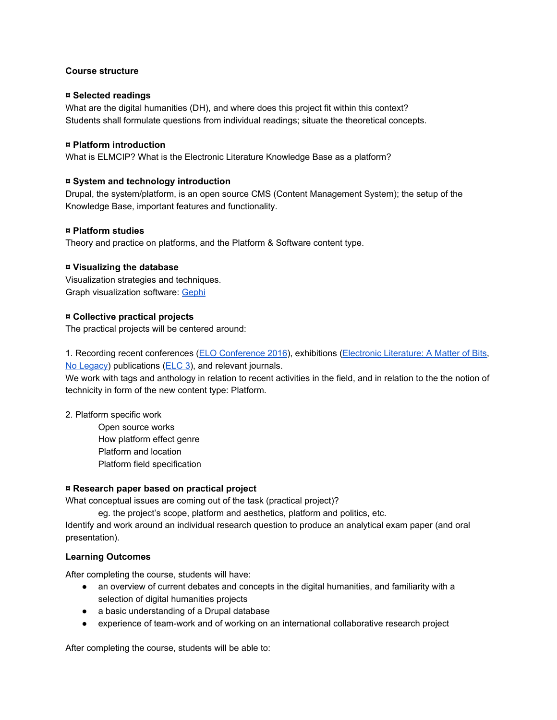# **Course structure**

## **¤ Selected readings**

What are the digital humanities (DH), and where does this project fit within this context? Students shall formulate questions from individual readings; situate the theoretical concepts.

# **¤ Platform introduction**

What is ELMCIP? What is the Electronic Literature Knowledge Base as a platform?

# **¤ System and technology introduction**

Drupal, the system/platform, is an open source CMS (Content Management System); the setup of the Knowledge Base, important features and functionality.

# **¤ Platform studies**

Theory and practice on platforms, and the Platform & Software content type.

# **¤ Visualizing the database**

Visualization strategies and techniques. Graph visualization software: [Gephi](https://gephi.org/)

# **¤ Collective practical projects**

The practical projects will be centered around:

1. Recording recent conferences [\(ELO Conference 2016\)](http://elo2016.com/), exhibitions ([Electronic Literature: A Matter of Bits,](https://digitalstudies.camden.rutgers.edu/electronic-literature-a-matter-of-bits/) [No Legacy\)](http://nolegacy.berkeley.edu/) publications ([ELC 3](http://collection.eliterature.org/)), and relevant journals.

We work with tags and anthology in relation to recent activities in the field, and in relation to the the notion of technicity in form of the new content type: Platform.

2. Platform specific work

Open source works How platform effect genre Platform and location Platform field specification

### **¤ Research paper based on practical project**

What conceptual issues are coming out of the task (practical project)?

eg. the project's scope, platform and aesthetics, platform and politics, etc.

Identify and work around an individual research question to produce an analytical exam paper (and oral presentation).

### **Learning Outcomes**

After completing the course, students will have:

- an overview of current debates and concepts in the digital humanities, and familiarity with a selection of digital humanities projects
- a basic understanding of a Drupal database
- experience of teamwork and of working on an international collaborative research project

After completing the course, students will be able to: